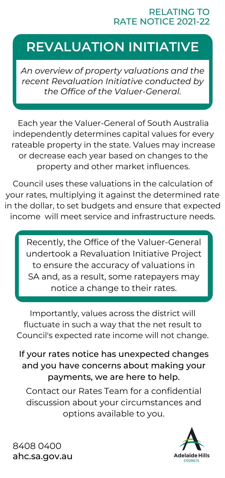#### RELATING TO RATE NOTICE 2021-22

# **REVALUATION INITIATIVE**

*An overview of property valuations and the recent Revaluation Initiative conducted by the Office of the Valuer-General.*

Each year the Valuer-General of South Australia independently determines capital values for every rateable property in the state. Values may increase or decrease each year based on changes to the property and other market influences.

Council uses these valuations in the calculation of your rates, multiplying it against the determined rate in the dollar, to set budgets and ensure that expected income will meet service and infrastructure needs.

> Recently, the Office of the Valuer-General undertook a Revaluation Initiative Project to ensure the accuracy of valuations in SA and, as a result, some ratepayers may notice a change to their rates.

Importantly, values across the district will fluctuate in such a way that the net result to Council's expected rate income will not change.

If your rates notice has unexpected changes and you have concerns about making your payments, we are here to help. Contact our Rates Team for a confidential discussion about your circumstances and options available to you.



8408 0400 ahc.sa.gov.au